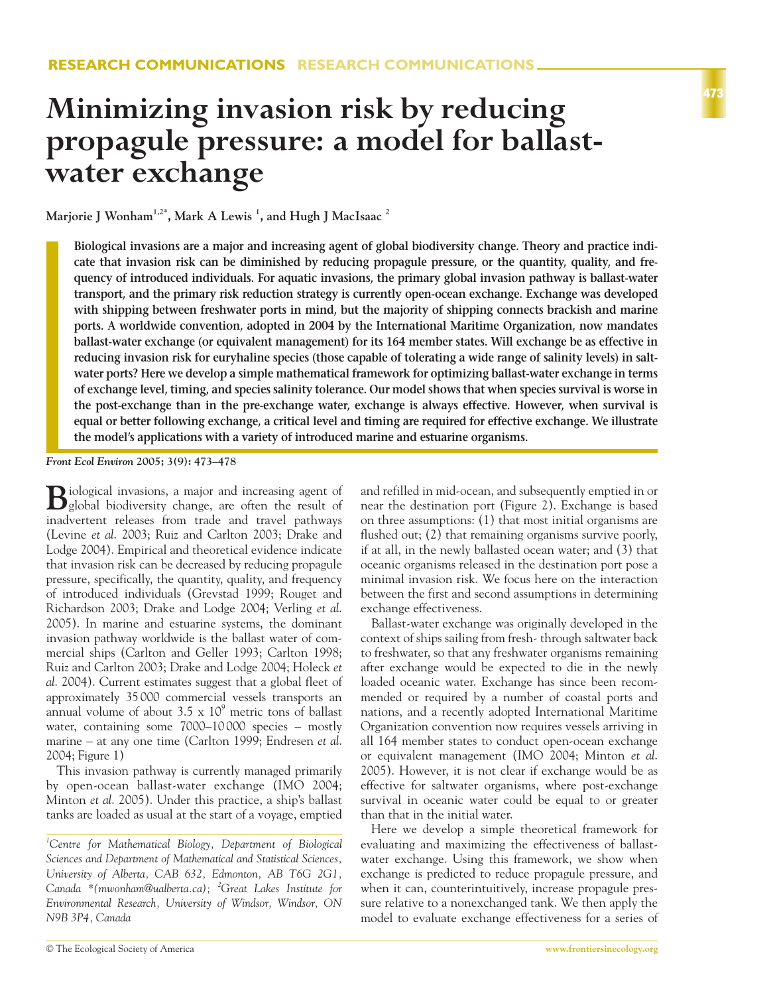# **Minimizing invasion risk by reducing propagule pressure: a model for ballastwater exchange**

**Marjorie J Wonham1,2\*, Mark A Lewis 1 , and Hugh J MacIsaac 2**

**Biological invasions are a major and increasing agent of global biodiversity change. Theory and practice indicate that invasion risk can be diminished by reducing propagule pressure, or the quantity, quality, and frequency of introduced individuals. For aquatic invasions, the primary global invasion pathway is ballast-water transport, and the primary risk reduction strategy is currently open-ocean exchange. Exchange was developed with shipping between freshwater ports in mind, but the majority of shipping connects brackish and marine ports. A worldwide convention, adopted in 2004 by the International Maritime Organization, now mandates ballast-water exchange (or equivalent management) for its 164 member states. Will exchange be as effective in reducing invasion risk for euryhaline species (those capable of tolerating a wide range of salinity levels) in saltwater ports? Here we develop a simple mathematical framework for optimizing ballast-water exchange in terms of exchange level, timing, and species salinity tolerance. Our model shows that when species survival is worse in the post-exchange than in the pre-exchange water, exchange is always effective. However, when survival is equal or better following exchange, a critical level and timing are required for effective exchange. We illustrate the model's applications with a variety of introduced marine and estuarine organisms.** 

*Front Ecol Environ* **2005; 3(9): 473–478**

**B**iological invasions, a major and increasing agent of global biodiversity change, are often the result of inadvertent releases from trade and travel pathways (Levine *et al*. 2003; Ruiz and Carlton 2003; Drake and Lodge 2004). Empirical and theoretical evidence indicate that invasion risk can be decreased by reducing propagule pressure, specifically, the quantity, quality, and frequency of introduced individuals (Grevstad 1999; Rouget and Richardson 2003; Drake and Lodge 2004; Verling *et al*. 2005). In marine and estuarine systems, the dominant invasion pathway worldwide is the ballast water of commercial ships (Carlton and Geller 1993; Carlton 1998; Ruiz and Carlton 2003; Drake and Lodge 2004; Holeck *et al*. 2004). Current estimates suggest that a global fleet of approximately 35 000 commercial vessels transports an annual volume of about  $3.5 \times 10^9$  metric tons of ballast water, containing some 7000–10 000 species – mostly marine – at any one time (Carlton 1999; Endresen *et al*. 2004; Figure 1)

This invasion pathway is currently managed primarily by open-ocean ballast-water exchange (IMO 2004; Minton *et al*. 2005). Under this practice, a ship's ballast tanks are loaded as usual at the start of a voyage, emptied and refilled in mid-ocean, and subsequently emptied in or near the destination port (Figure 2). Exchange is based on three assumptions: (1) that most initial organisms are flushed out; (2) that remaining organisms survive poorly, if at all, in the newly ballasted ocean water; and (3) that oceanic organisms released in the destination port pose a minimal invasion risk. We focus here on the interaction between the first and second assumptions in determining exchange effectiveness.

Ballast-water exchange was originally developed in the context of ships sailing from fresh- through saltwater back to freshwater, so that any freshwater organisms remaining after exchange would be expected to die in the newly loaded oceanic water. Exchange has since been recommended or required by a number of coastal ports and nations, and a recently adopted International Maritime Organization convention now requires vessels arriving in all 164 member states to conduct open-ocean exchange or equivalent management (IMO 2004; Minton *et al*. 2005). However, it is not clear if exchange would be as effective for saltwater organisms, where post-exchange survival in oceanic water could be equal to or greater than that in the initial water.

Here we develop a simple theoretical framework for evaluating and maximizing the effectiveness of ballastwater exchange. Using this framework, we show when exchange is predicted to reduce propagule pressure, and when it can, counterintuitively, increase propagule pressure relative to a nonexchanged tank. We then apply the model to evaluate exchange effectiveness for a series of

*<sup>1</sup> Centre for Mathematical Biology, Department of Biological Sciences and Department of Mathematical and Statistical Sciences, University of Alberta, CAB 632, Edmonton, AB T6G 2G1, Canada \*(mwonham@ualberta.ca); <sup>2</sup> Great Lakes Institute for Environmental Research, University of Windsor, Windsor, ON N9B 3P4, Canada*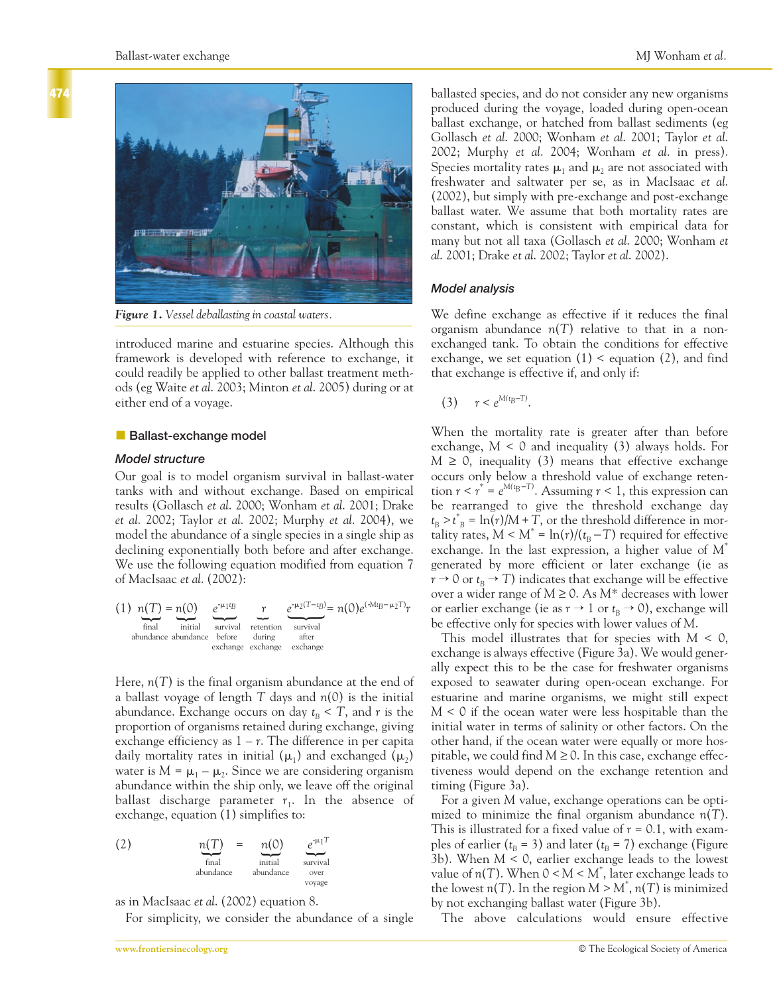



*Figure 1. Vessel deballasting in coastal waters.*

introduced marine and estuarine species. Although this framework is developed with reference to exchange, it could readily be applied to other ballast treatment methods (eg Waite *et al*. 2003; Minton *et al*. 2005) during or at either end of a voyage.

# **Ballast-exchange model**

## *Model structure*

Our goal is to model organism survival in ballast-water tanks with and without exchange. Based on empirical results (Gollasch *et al*. 2000; Wonham *et al*. 2001; Drake *et al*. 2002; Taylor *et al*. 2002; Murphy *et al*. 2004), we model the abundance of a single species in a single ship as declining exponentially both before and after exchange. We use the following equation modified from equation 7 of MacIsaac *et al*. (2002):

(1) 
$$
n(T) = n(0)
$$
  
\nfinal initial  
\nabundance abundance before  
\nexchange exchange exchange  
\nexchange exchange

Here, *n*(*T*) is the final organism abundance at the end of a ballast voyage of length *T* days and *n*(0) is the initial abundance. Exchange occurs on day  $t_{\rm B} < T$ , and r is the proportion of organisms retained during exchange, giving exchange efficiency as  $1 - r$ . The difference in per capita daily mortality rates in initial ( $\mu_1$ ) and exchanged ( $\mu_2$ ) water is  $M = \mu_1 - \mu_2$ . Since we are considering organism abundance within the ship only, we leave off the original ballast discharge parameter  $r_1$ . In the absence of exchange, equation (1) simplifies to:

(2) 
$$
\underbrace{n(T)}_{\text{final}} = \underbrace{n(0)}_{\text{initial}} \underbrace{e^{i\mu_1 T}}_{\text{survival} \text{over}} \underbrace{e^{i\mu_1 T}}_{\text{varyical} \text{over}}
$$

as in MacIsaac *et al*. (2002) equation 8.

For simplicity, we consider the abundance of a single

ballasted species, and do not consider any new organisms produced during the voyage, loaded during open-ocean ballast exchange, or hatched from ballast sediments (eg Gollasch *et al*. 2000; Wonham *et al*. 2001; Taylor *et al*. 2002; Murphy *et al*. 2004; Wonham *et al*. in press). Species mortality rates  $\mu_1$  and  $\mu_2$  are not associated with freshwater and saltwater per se, as in MacIsaac *et al*. (2002), but simply with pre-exchange and post-exchange ballast water. We assume that both mortality rates are constant, which is consistent with empirical data for many but not all taxa (Gollasch *et al*. 2000; Wonham *et al*. 2001; Drake *et al*. 2002; Taylor *et al*. 2002).

## *Model analysis*

We define exchange as effective if it reduces the final organism abundance *n*(*T*) relative to that in a nonexchanged tank. To obtain the conditions for effective exchange, we set equation  $(1)$  < equation  $(2)$ , and find that exchange is effective if, and only if:

(3)  $r < e^{M(t_B-T)}$ .

When the mortality rate is greater after than before exchange,  $M < 0$  and inequality (3) always holds. For  $M \geq 0$ , inequality (3) means that effective exchange occurs only below a threshold value of exchange retention  $r < r^* = e^{M(t_B - T)}$ . Assuming  $r < 1$ , this expression can be rearranged to give the threshold exchange day  $t_{\rm B} > t_{\rm B}^* = \ln(r)/M + T$ , or the threshold difference in mortality rates,  $M < M^* = \ln(r)/(t_B - T)$  required for effective exchange. In the last expression, a higher value of *M*\* generated by more efficient or later exchange (ie as  $r \to 0$  or  $t_B \to T$ ) indicates that exchange will be effective over a wider range of *M* ≥ 0. As *M*\* decreases with lower or earlier exchange (ie as  $r \to 1$  or  $t_B \to 0$ ), exchange will be effective only for species with lower values of *M*.

This model illustrates that for species with *M* < 0, exchange is always effective (Figure 3a). We would generally expect this to be the case for freshwater organisms exposed to seawater during open-ocean exchange. For estuarine and marine organisms, we might still expect *M* < 0 if the ocean water were less hospitable than the initial water in terms of salinity or other factors. On the other hand, if the ocean water were equally or more hospitable, we could find  $M \geq 0$ . In this case, exchange effectiveness would depend on the exchange retention and timing (Figure 3a).

For a given *M* value, exchange operations can be optimized to minimize the final organism abundance *n*(*T*). This is illustrated for a fixed value of *r* = 0.1, with examples of earlier ( $t_B$  = 3) and later ( $t_B$  = 7) exchange (Figure 3b). When *M* < 0, earlier exchange leads to the lowest value of *n*(*T*). When 0 < *M* < *M*\* , later exchange leads to the lowest  $n(T)$ . In the region  $M > M^*$ ,  $n(T)$  is minimized by not exchanging ballast water (Figure 3b).

The above calculations would ensure effective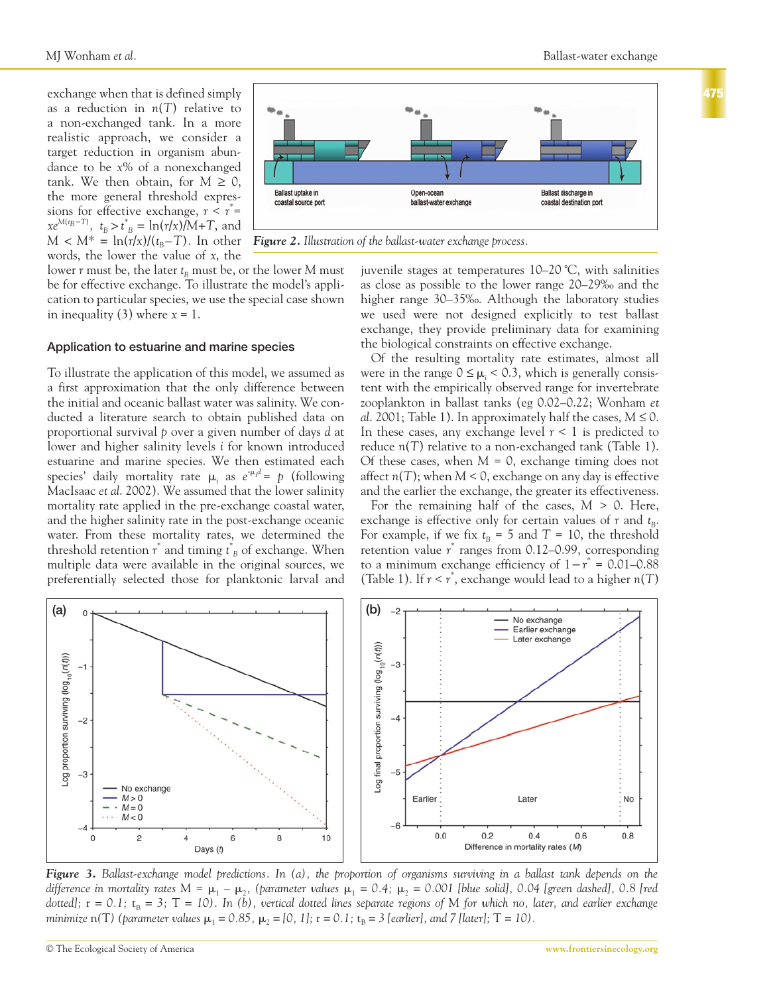exchange when that is defined simply as a reduction in *n*(*T*) relative to a non-exchanged tank. In a more realistic approach, we consider a target reduction in organism abundance to be *x*% of a nonexchanged tank. We then obtain, for  $M \geq 0$ , the more general threshold expressions for effective exchange, *r* < *r* \* =  $xe^{M(t_B-T)}$ ,  $t_B > t^*$  *B* = ln(*r*/*x*)/M+T, and  $M < M^* = \ln(r/x)/(t_B - T)$ . In other words, the lower the value of *x*, the



*Figure 2. Illustration of the ballast-water exchange process.* 

lower  $r$  must be, the later  $t_B$  must be, or the lower  $M$  must be for effective exchange. To illustrate the model's application to particular species, we use the special case shown in inequality  $(3)$  where  $x = 1$ .

## **Application to estuarine and marine species**

To illustrate the application of this model, we assumed as a first approximation that the only difference between the initial and oceanic ballast water was salinity. We conducted a literature search to obtain published data on proportional survival *p* over a given number of days *d* at lower and higher salinity levels *i* for known introduced estuarine and marine species. We then estimated each species' daily mortality rate  $\mu_i$  as  $e^{-\mu_i d} = p$  (following MacIsaac *et al*. 2002). We assumed that the lower salinity mortality rate applied in the pre-exchange coastal water, and the higher salinity rate in the post-exchange oceanic water. From these mortality rates, we determined the threshold retention *r* \* and timing *t \* <sup>B</sup>* of exchange. When multiple data were available in the original sources, we preferentially selected those for planktonic larval and juvenile stages at temperatures 10–20 ˚C, with salinities as close as possible to the lower range 20–29‰ and the higher range 30–35‰. Although the laboratory studies we used were not designed explicitly to test ballast exchange, they provide preliminary data for examining the biological constraints on effective exchange.

Of the resulting mortality rate estimates, almost all were in the range  $0 \leq \mu_i < 0.3$ , which is generally consistent with the empirically observed range for invertebrate zooplankton in ballast tanks (eg 0.02–0.22; Wonham *et al.* 2001; Table 1). In approximately half the cases,  $M \le 0$ . In these cases, any exchange level  $r < 1$  is predicted to reduce *n*(*T*) relative to a non-exchanged tank (Table 1). Of these cases, when *M* = 0, exchange timing does not affect  $n(T)$ ; when  $M < 0$ , exchange on any day is effective and the earlier the exchange, the greater its effectiveness.

For the remaining half of the cases,  $M > 0$ . Here, exchange is effective only for certain values of  $r$  and  $t_{B}$ . For example, if we fix  $t_B = 5$  and  $T = 10$ , the threshold retention value *r* \* ranges from 0.12–0.99, corresponding to a minimum exchange efficiency of  $1-r^* = 0.01-0.88$ (Table 1). If  $r < r^*$ , exchange would lead to a higher  $n(T)$ 



*Figure 3. Ballast-exchange model predictions. In (a), the proportion of organisms surviving in a ballast tank depends on the* difference in mortality rates M =  $\mu_1$  –  $\mu_2$ , (parameter values  $\mu_1$  = 0.4;  $\mu_2$  = 0.001 [blue solid], 0.04 [green dashed], 0.8 [red *dotted]*;  $r = 0.1$ ;  $t_B = 3$ ;  $T = 10$ ). In (b), vertical dotted lines separate regions of M for which no, later, and earlier exchange *minimize*  $n(T)$  (parameter values  $\mu_1 = 0.85$ ,  $\mu_2 = [0, 1]$ ;  $r = 0.1$ ;  $t_B = 3$  [earlier], and 7 [later]; T = 10).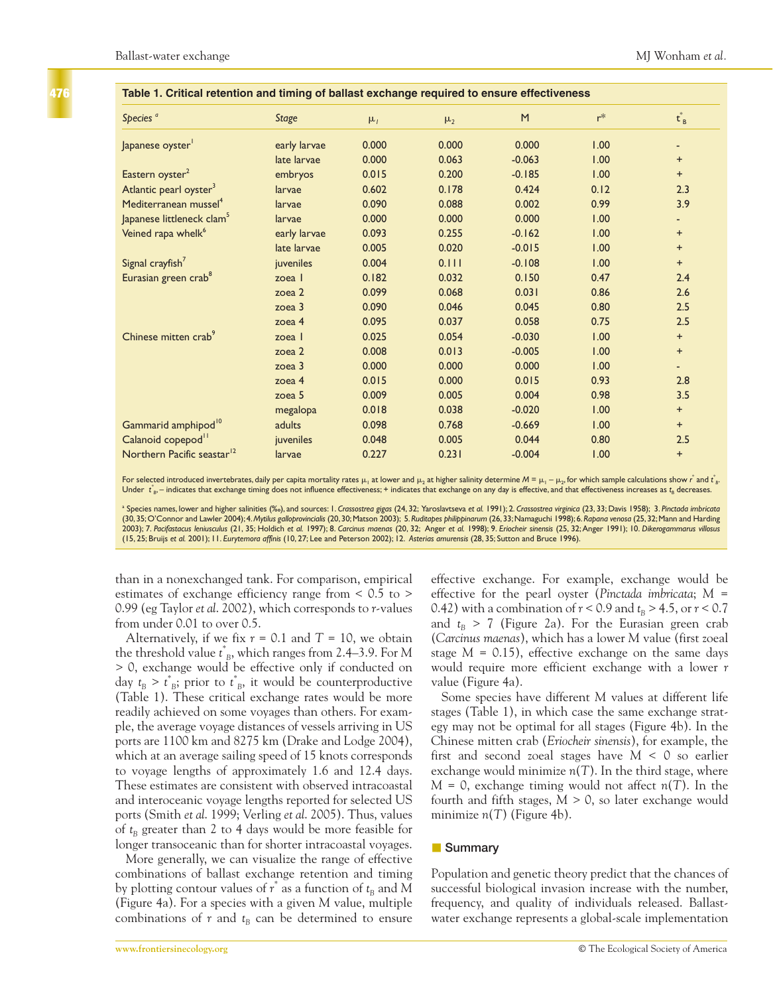**476**

| Species <sup>a</sup>                   | <b>Stage</b>      | $\mu_1$ | $\mu_2$ | M        | $r^*$ | $t_B^*$                  |
|----------------------------------------|-------------------|---------|---------|----------|-------|--------------------------|
| Japanese oyster                        | early larvae      | 0.000   | 0.000   | 0.000    | 1.00  | ٠                        |
|                                        | late larvae       | 0.000   | 0.063   | $-0.063$ | 1.00  | $+$                      |
| Eastern oyster <sup>2</sup>            | embryos           | 0.015   | 0.200   | $-0.185$ | 1.00  | $+$                      |
| Atlantic pearl oyster <sup>3</sup>     | larvae            | 0.602   | 0.178   | 0.424    | 0.12  | 2.3                      |
| Mediterranean mussel <sup>4</sup>      | larvae            | 0.090   | 0.088   | 0.002    | 0.99  | 3.9                      |
| Japanese littleneck clam <sup>5</sup>  | larvae            | 0.000   | 0.000   | 0.000    | 1.00  | $\overline{\phantom{0}}$ |
| Veined rapa whelk <sup>6</sup>         | early larvae      | 0.093   | 0.255   | $-0.162$ | 1.00  | $+$                      |
|                                        | late larvae       | 0.005   | 0.020   | $-0.015$ | 1.00  | $+$                      |
| Signal crayfish <sup>7</sup>           | juveniles         | 0.004   | 0.111   | $-0.108$ | 1.00  | $+$                      |
| Eurasian green crab <sup>8</sup>       | zoea l            | 0.182   | 0.032   | 0.150    | 0.47  | 2.4                      |
|                                        | zoea 2            | 0.099   | 0.068   | 0.031    | 0.86  | 2.6                      |
|                                        | zoea 3            | 0.090   | 0.046   | 0.045    | 0.80  | 2.5                      |
|                                        | zoea 4            | 0.095   | 0.037   | 0.058    | 0.75  | 2.5                      |
| Chinese mitten crab <sup>9</sup>       | zoea l            | 0.025   | 0.054   | $-0.030$ | 1.00  | $+$                      |
|                                        | zoea 2            | 0.008   | 0.013   | $-0.005$ | 1.00  | $+$                      |
|                                        | zoea 3            | 0.000   | 0.000   | 0.000    | 1.00  | ÷.                       |
|                                        | zoea 4            | 0.015   | 0.000   | 0.015    | 0.93  | 2.8                      |
|                                        | zoea <sub>5</sub> | 0.009   | 0.005   | 0.004    | 0.98  | 3.5                      |
|                                        | megalopa          | 0.018   | 0.038   | $-0.020$ | 1.00  | $+$                      |
| Gammarid amphipod <sup>10</sup>        | adults            | 0.098   | 0.768   | $-0.669$ | 1.00  | $+$                      |
| Calanoid copepod <sup>11</sup>         | juveniles         | 0.048   | 0.005   | 0.044    | 0.80  | 2.5                      |
| Northern Pacific seastar <sup>12</sup> | larvae            | 0.227   | 0.231   | $-0.004$ | 1.00  | $+$                      |

#### **Table 1. Critical retention and timing of ballast exchange required to ensure effectiveness**

For selected introduced invertebrates, daily per capita mortality rates  $\mu_1$  at lower and  $\mu_2$  at higher salinity determine  $M = \mu_1 - \mu_2$ , for which sample calculations show *r* and  $t_{\rm B}$ . Under *t<sub>B</sub>*, – indicates that exchange timing does not influence effectiveness; + indicates that exchange on any day is effective, and that effectiveness increases as *t<sub>B</sub>* decreases.

<sup>a</sup> Species names, lower and higher salinities (‰), and sources: 1. *Crassostrea gigas* (24, 32; Yaroslavtseva *et al.* 1991); 2. *Crassostrea virginica* (23, 33; Davis 1958); 3. *Pinctada imbricata* (30,35;O'Connor and Lawler 2004);4.*Mytilus galloprovincialis* (20,30;Matson 2003); 5.*Ruditapes philippinarum* (26,33;Namaguchi 1998);6.*Rapana venosa* (25,32;Mann and Harding 2003); 7. Pacifastacus leniusculus (21, 35; Holdich et al. 1997); 8. Carcinus maenas (20, 32; Anger et al. 1998); 9. Eriocheir sinensis (25, 32; Anger 1991); 10. Dikerogammarus villosus (15, 25; Bruijs *et al.* 2001); 11. *Eurytemora affinis* (10, 27; Lee and Peterson 2002); 12. *Asterias amurensis* (28, 35; Sutton and Bruce 1996).

than in a nonexchanged tank. For comparison, empirical estimates of exchange efficiency range from < 0.5 to > 0.99 (eg Taylor *et al*. 2002), which corresponds to *r*-values from under 0.01 to over 0.5.

Alternatively, if we fix  $r = 0.1$  and  $T = 10$ , we obtain the threshold value *t \* <sup>B</sup>*, which ranges from 2.4–3.9. For *M* > 0, exchange would be effective only if conducted on day  $t_B > t^*_{B}$ ; prior to  $t^*_{B}$ , it would be counterproductive (Table 1). These critical exchange rates would be more readily achieved on some voyages than others. For example, the average voyage distances of vessels arriving in US ports are 1100 km and 8275 km (Drake and Lodge 2004), which at an average sailing speed of 15 knots corresponds to voyage lengths of approximately 1.6 and 12.4 days. These estimates are consistent with observed intracoastal and interoceanic voyage lengths reported for selected US ports (Smith *et al*. 1999; Verling *et al*. 2005). Thus, values of  $t_B$  greater than 2 to 4 days would be more feasible for longer transoceanic than for shorter intracoastal voyages.

More generally, we can visualize the range of effective combinations of ballast exchange retention and timing by plotting contour values of  $r^*$  as a function of  $t_B$  and  $M$ (Figure 4a). For a species with a given *M* value, multiple combinations of  $r$  and  $t_B$  can be determined to ensure

effective exchange. For example, exchange would be effective for the pearl oyster (*Pinctada imbricata*; *M* = 0.42) with a combination of  $r < 0.9$  and  $t_B > 4.5$ , or  $r < 0.7$ and  $t_B$  > 7 (Figure 2a). For the Eurasian green crab (*Carcinus maenas*), which has a lower *M* value (first zoeal stage  $M = 0.15$ , effective exchange on the same days would require more efficient exchange with a lower *r* value (Figure 4a).

Some species have different *M* values at different life stages (Table 1), in which case the same exchange strategy may not be optimal for all stages (Figure 4b). In the Chinese mitten crab (*Eriocheir sinensis*), for example, the first and second zoeal stages have *M* < 0 so earlier exchange would minimize  $n(T)$ . In the third stage, where *M* = 0, exchange timing would not affect *n*(*T*). In the fourth and fifth stages,  $M > 0$ , so later exchange would minimize *n*(*T*) (Figure 4b).

# **Bummary**

Population and genetic theory predict that the chances of successful biological invasion increase with the number, frequency, and quality of individuals released. Ballastwater exchange represents a global-scale implementation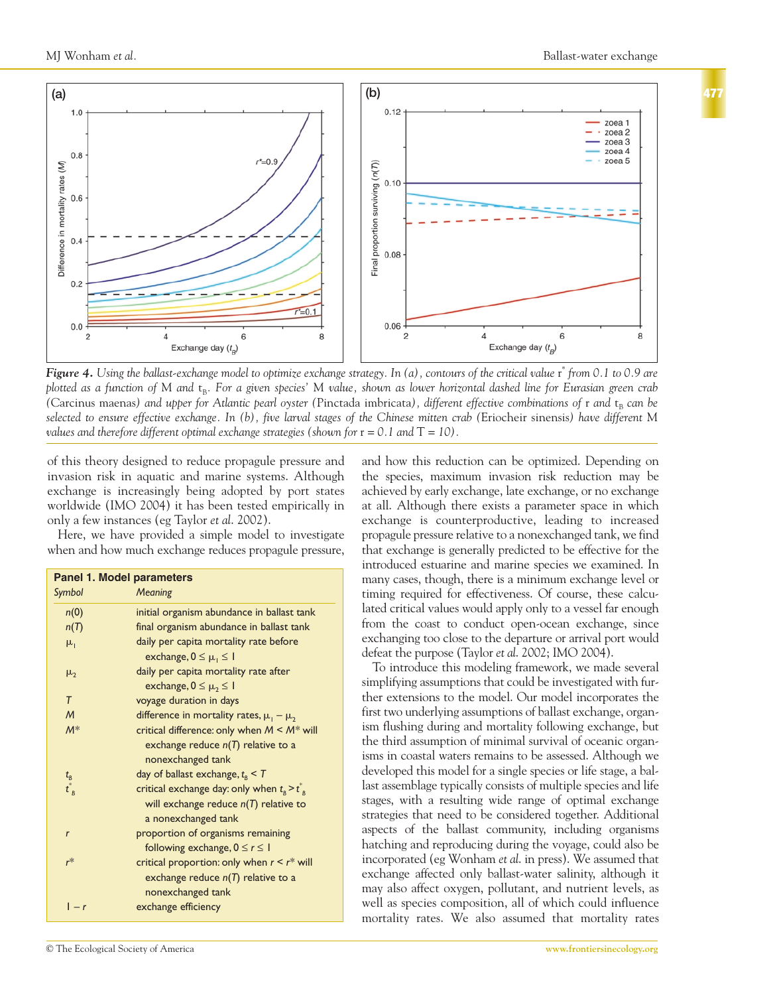





*Figure 4. Using the ballast-exchange model to optimize exchange strategy. In (a), contours of the critical value* r *\* from 0.1 to 0.9 are plotted as a function of M and*  $t_{B}$ . For a given species' M value, shown as lower horizontal dashed line for Eurasian green crab *(Carcinus maenas) and upper for Atlantic pearl oyster (Pinctada imbricata), different effective combinations of <i>r and*  $t_B$  *can be selected to ensure effective exchange. In (b), five larval stages of the Chinese mitten crab (*Eriocheir sinensis*) have different* M *values and therefore different optimal exchange strategies (shown for*  $r = 0.1$  *and*  $T = 10$ ).

of this theory designed to reduce propagule pressure and invasion risk in aquatic and marine systems. Although exchange is increasingly being adopted by port states worldwide (IMO 2004) it has been tested empirically in only a few instances (eg Taylor *et al*. 2002).

Here, we have provided a simple model to investigate when and how much exchange reduces propagule pressure,

| <b>Panel 1. Model parameters</b> |                                                              |  |  |  |  |
|----------------------------------|--------------------------------------------------------------|--|--|--|--|
| Symbol                           | Meaning                                                      |  |  |  |  |
| n(0)                             | initial organism abundance in ballast tank                   |  |  |  |  |
| n(T)                             | final organism abundance in ballast tank                     |  |  |  |  |
| $\mu_1$                          | daily per capita mortality rate before                       |  |  |  |  |
|                                  | exchange, $0 \leq \mu_1 \leq 1$                              |  |  |  |  |
| $\mu_{2}$                        | daily per capita mortality rate after                        |  |  |  |  |
|                                  | exchange, $0 \leq \mu_2 \leq 1$                              |  |  |  |  |
| T                                | voyage duration in days                                      |  |  |  |  |
| $\overline{M}$                   | difference in mortality rates, $\mu_1 - \mu_2$               |  |  |  |  |
| $M^*$                            | critical difference: only when $M \leq M^*$ will             |  |  |  |  |
|                                  | exchange reduce $n(T)$ relative to a                         |  |  |  |  |
|                                  | nonexchanged tank                                            |  |  |  |  |
|                                  | day of ballast exchange, $t_{\rm B}$ < T                     |  |  |  |  |
| $t_B$<br>$t_B^*$                 | critical exchange day: only when $t_{\rm B}$ > $t_{\rm B}^*$ |  |  |  |  |
|                                  | will exchange reduce $n(T)$ relative to                      |  |  |  |  |
|                                  | a nonexchanged tank                                          |  |  |  |  |
| $\mathbf{r}$                     | proportion of organisms remaining                            |  |  |  |  |
|                                  | following exchange, $0 \le r \le 1$                          |  |  |  |  |
| $r^*$                            | critical proportion: only when $r \leq r^*$ will             |  |  |  |  |
|                                  | exchange reduce $n(T)$ relative to a                         |  |  |  |  |
|                                  | nonexchanged tank                                            |  |  |  |  |
| $1 - r$                          | exchange efficiency                                          |  |  |  |  |

and how this reduction can be optimized. Depending on the species, maximum invasion risk reduction may be achieved by early exchange, late exchange, or no exchange at all. Although there exists a parameter space in which exchange is counterproductive, leading to increased propagule pressure relative to a nonexchanged tank, we find that exchange is generally predicted to be effective for the introduced estuarine and marine species we examined. In many cases, though, there is a minimum exchange level or timing required for effectiveness. Of course, these calculated critical values would apply only to a vessel far enough from the coast to conduct open-ocean exchange, since exchanging too close to the departure or arrival port would defeat the purpose (Taylor *et al*. 2002; IMO 2004).

To introduce this modeling framework, we made several simplifying assumptions that could be investigated with further extensions to the model. Our model incorporates the first two underlying assumptions of ballast exchange, organism flushing during and mortality following exchange, but the third assumption of minimal survival of oceanic organisms in coastal waters remains to be assessed. Although we developed this model for a single species or life stage, a ballast assemblage typically consists of multiple species and life stages, with a resulting wide range of optimal exchange strategies that need to be considered together. Additional aspects of the ballast community, including organisms hatching and reproducing during the voyage, could also be incorporated (eg Wonham *et al*. in press). We assumed that exchange affected only ballast-water salinity, although it may also affect oxygen, pollutant, and nutrient levels, as well as species composition, all of which could influence mortality rates. We also assumed that mortality rates